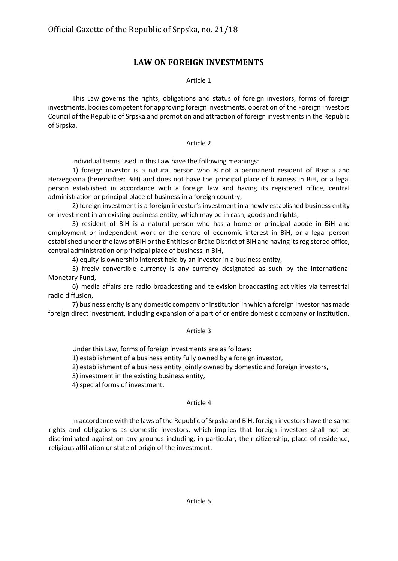# **LAW ON FOREIGN INVESTMENTS**

# Article 1

This Law governs the rights, obligations and status of foreign investors, forms of foreign investments, bodies competent for approving foreign investments, operation of the Foreign Investors Council of the Republic of Srpska and promotion and attraction of foreign investments in the Republic of Srpska.

# Article 2

Individual terms used in this Law have the following meanings:

1) foreign investor is a natural person who is not a permanent resident of Bosnia and Herzegovina (hereinafter: BiH) and does not have the principal place of business in BiH, or a legal person established in accordance with a foreign law and having its registered office, central administration or principal place of business in a foreign country,

2) foreign investment is a foreign investor's investment in a newly established business entity or investment in an existing business entity, which may be in cash, goods and rights,

3) resident of BiH is a natural person who has a home or principal abode in BiH and employment or independent work or the centre of economic interest in BiH, or a legal person established under the laws of BiH or the Entities or Brčko District of BiH and having its registered office, central administration or principal place of business in BiH,

4) equity is ownership interest held by an investor in a business entity,

5) freely convertible currency is any currency designated as such by the International Monetary Fund,

6) media affairs are radio broadcasting and television broadcasting activities via terrestrial radio diffusion,

7) business entity is any domestic company or institution in which a foreign investor has made foreign direct investment, including expansion of a part of or entire domestic company or institution.

# Article 3

Under this Law, forms of foreign investments are as follows:

1) establishment of a business entity fully owned by a foreign investor,

2) establishment of a business entity jointly owned by domestic and foreign investors,

3) investment in the existing business entity,

4) special forms of investment.

# Article 4

In accordance with the laws of the Republic of Srpska and BiH, foreign investors have the same rights and obligations as domestic investors, which implies that foreign investors shall not be discriminated against on any grounds including, in particular, their citizenship, place of residence, religious affiliation or state of origin of the investment.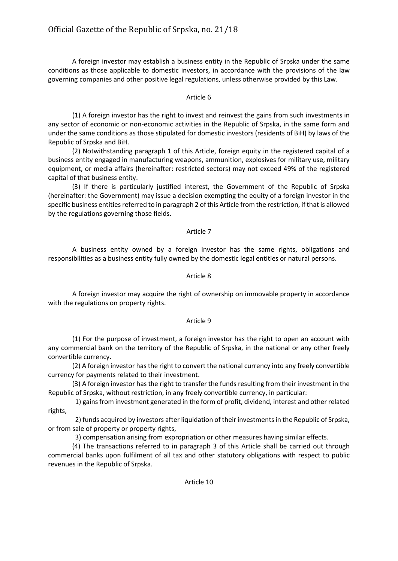A foreign investor may establish a business entity in the Republic of Srpska under the same conditions as those applicable to domestic investors, in accordance with the provisions of the law governing companies and other positive legal regulations, unless otherwise provided by this Law.

## Article 6

(1) A foreign investor has the right to invest and reinvest the gains from such investments in any sector of economic or non-economic activities in the Republic of Srpska, in the same form and under the same conditions as those stipulated for domestic investors (residents of BiH) by laws of the Republic of Srpska and BiH.

(2) Notwithstanding paragraph 1 of this Article, foreign equity in the registered capital of a business entity engaged in manufacturing weapons, ammunition, explosives for military use, military equipment, or media affairs (hereinafter: restricted sectors) may not exceed 49% of the registered capital of that business entity.

(3) If there is particularly justified interest, the Government of the Republic of Srpska (hereinafter: the Government) may issue a decision exempting the equity of a foreign investor in the specific business entities referred to in paragraph 2 of this Article from the restriction, if that is allowed by the regulations governing those fields.

## Article 7

A business entity owned by a foreign investor has the same rights, obligations and responsibilities as a business entity fully owned by the domestic legal entities or natural persons.

# Article 8

A foreign investor may acquire the right of ownership on immovable property in accordance with the regulations on property rights.

## Article 9

(1) For the purpose of investment, a foreign investor has the right to open an account with any commercial bank on the territory of the Republic of Srpska, in the national or any other freely convertible currency.

(2) A foreign investor has the right to convert the national currency into any freely convertible currency for payments related to their investment.

(3) A foreign investor has the right to transfer the funds resulting from their investment in the Republic of Srpska, without restriction, in any freely convertible currency, in particular:

1) gains from investment generated in the form of profit, dividend, interest and other related rights,

2) funds acquired by investors after liquidation of their investments in the Republic of Srpska, or from sale of property or property rights,

3) compensation arising from expropriation or other measures having similar effects.

(4) The transactions referred to in paragraph 3 of this Article shall be carried out through commercial banks upon fulfilment of all tax and other statutory obligations with respect to public revenues in the Republic of Srpska.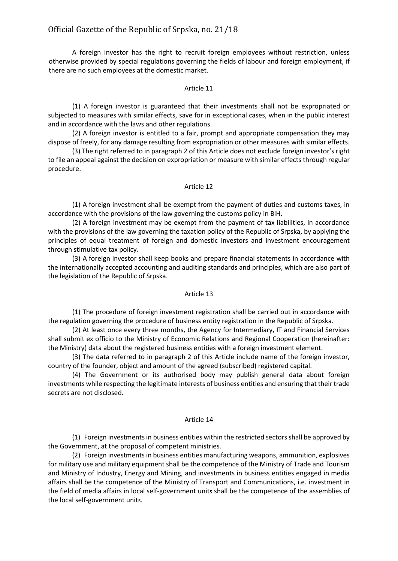# Official Gazette of the Republic of Srpska, nо. 21/18

A foreign investor has the right to recruit foreign employees without restriction, unless otherwise provided by special regulations governing the fields of labour and foreign employment, if there are no such employees at the domestic market.

#### Article 11

(1) A foreign investor is guaranteed that their investments shall not be expropriated or subjected to measures with similar effects, save for in exceptional cases, when in the public interest and in accordance with the laws and other regulations.

(2) A foreign investor is entitled to a fair, prompt and appropriate compensation they may dispose of freely, for any damage resulting from expropriation or other measures with similar effects.

(3) The right referred to in paragraph 2 of this Article does not exclude foreign investor's right to file an appeal against the decision on expropriation or measure with similar effects through regular procedure.

#### Article 12

(1) A foreign investment shall be exempt from the payment of duties and customs taxes, in accordance with the provisions of the law governing the customs policy in BiH.

(2) A foreign investment may be exempt from the payment of tax liabilities, in accordance with the provisions of the law governing the taxation policy of the Republic of Srpska, by applying the principles of equal treatment of foreign and domestic investors and investment encouragement through stimulative tax policy.

(3) A foreign investor shall keep books and prepare financial statements in accordance with the internationally accepted accounting and auditing standards and principles, which are also part of the legislation of the Republic of Srpska.

#### Article 13

(1) The procedure of foreign investment registration shall be carried out in accordance with the regulation governing the procedure of business entity registration in the Republic of Srpska.

(2) At least once every three months, the Agency for Intermediary, IT and Financial Services shall submit ex officio to the Ministry of Economic Relations and Regional Cooperation (hereinafter: the Ministry) data about the registered business entities with a foreign investment element.

(3) The data referred to in paragraph 2 of this Article include name of the foreign investor, country of the founder, object and amount of the agreed (subscribed) registered capital.

(4) The Government or its authorised body may publish general data about foreign investments while respecting the legitimate interests of business entities and ensuring that their trade secrets are not disclosed.

#### Article 14

(1) Foreign investments in business entities within the restricted sectors shall be approved by the Government, at the proposal of competent ministries.

(2) Foreign investments in business entities manufacturing weapons, ammunition, explosives for military use and military equipment shall be the competence of the Ministry of Trade and Tourism and Ministry of Industry, Energy and Mining, and investments in business entities engaged in media affairs shall be the competence of the Ministry of Transport and Communications, i.e. investment in the field of media affairs in local self-government units shall be the competence of the assemblies of the local self-government units.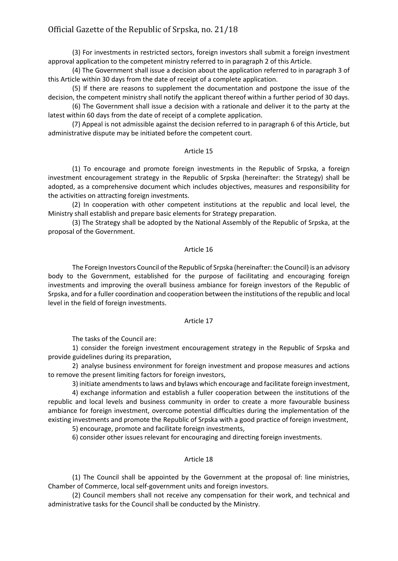# Official Gazette of the Republic of Srpska, nо. 21/18

(3) For investments in restricted sectors, foreign investors shall submit a foreign investment approval application to the competent ministry referred to in paragraph 2 of this Article.

(4) The Government shall issue a decision about the application referred to in paragraph 3 of this Article within 30 days from the date of receipt of a complete application.

(5) If there are reasons to supplement the documentation and postpone the issue of the decision, the competent ministry shall notify the applicant thereof within a further period of 30 days.

(6) The Government shall issue a decision with a rationale and deliver it to the party at the latest within 60 days from the date of receipt of a complete application.

(7) Appeal is not admissible against the decision referred to in paragraph 6 of this Article, but administrative dispute may be initiated before the competent court.

#### Article 15

(1) To encourage and promote foreign investments in the Republic of Srpska, a foreign investment encouragement strategy in the Republic of Srpska (hereinafter: the Strategy) shall be adopted, as a comprehensive document which includes objectives, measures and responsibility for the activities on attracting foreign investments.

(2) In cooperation with other competent institutions at the republic and local level, the Ministry shall establish and prepare basic elements for Strategy preparation.

(3) The Strategy shall be adopted by the National Assembly of the Republic of Srpska, at the proposal of the Government.

#### Article 16

The Foreign Investors Council of the Republic of Srpska (hereinafter: the Council) is an advisory body to the Government, established for the purpose of facilitating and encouraging foreign investments and improving the overall business ambiance for foreign investors of the Republic of Srpska, and for a fuller coordination and cooperation between the institutions of the republic and local level in the field of foreign investments.

#### Article 17

The tasks of the Council are:

1) consider the foreign investment encouragement strategy in the Republic of Srpska and provide guidelines during its preparation,

2) analyse business environment for foreign investment and propose measures and actions to remove the present limiting factors for foreign investors,

3) initiate amendments to laws and bylaws which encourage and facilitate foreign investment,

4) exchange information and establish a fuller cooperation between the institutions of the republic and local levels and business community in order to create a more favourable business ambiance for foreign investment, overcome potential difficulties during the implementation of the existing investments and promote the Republic of Srpska with a good practice of foreign investment,

5) encourage, promote and facilitate foreign investments,

6) consider other issues relevant for encouraging and directing foreign investments.

## Article 18

(1) The Council shall be appointed by the Government at the proposal of: line ministries, Chamber of Commerce, local self-government units and foreign investors.

(2) Council members shall not receive any compensation for their work, and technical and administrative tasks for the Council shall be conducted by the Ministry.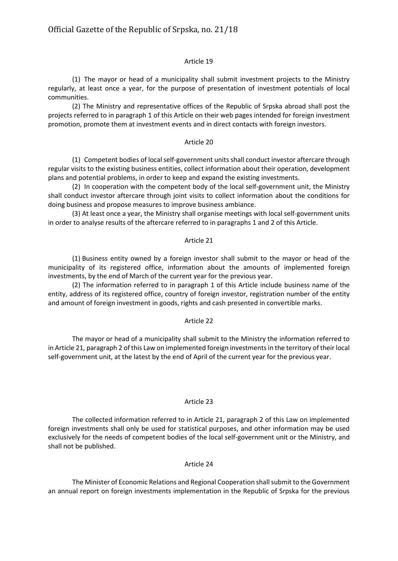### Article 19

(1) The mayor or head of a municipality shall submit investment projects to the Ministry regularly, at least once a year, for the purpose of presentation of investment potentials of local communities.

(2) The Ministry and representative offices of the Republic of Srpska abroad shall post the projects referred to in paragraph 1 of this Article on their web pages intended for foreign investment promotion, promote them at investment events and in direct contacts with foreign investors.

#### Article 20

(1) Competent bodies of local self-government units shall conduct investor aftercare through regular visits to the existing business entities, collect information about their operation, development plans and potential problems, in order to keep and expand the existing investments.

(2) In cooperation with the competent body of the local self-government unit, the Ministry shall conduct investor aftercare through joint visits to collect information about the conditions for doing business and propose measures to improve business ambiance.

(3) At least once a year, the Ministry shall organise meetings with local self-government units in order to analyse results of the aftercare referred to in paragraphs 1 and 2 of this Article.

#### Article 21

(1) Business entity owned by a foreign investor shall submit to the mayor or head of the municipality of its registered office, information about the amounts of implemented foreign investments, by the end of March of the current year for the previous year.

(2) The information referred to in paragraph 1 of this Article include business name of the entity, address of its registered office, country of foreign investor, registration number of the entity and amount of foreign investment in goods, rights and cash presented in convertible marks.

#### Article 22

The mayor or head of a municipality shall submit to the Ministry the information referred to in Article 21, paragraph 2 of this Law on implemented foreign investmentsin the territory of their local self-government unit, at the latest by the end of April of the current year for the previous year.

#### Article 23

The collected information referred to in Article 21, paragraph 2 of this Law on implemented foreign investments shall only be used for statistical purposes, and other information may be used exclusively for the needs of competent bodies of the local self-government unit or the Ministry, and shall not be published.

## Article 24

The Minister of Economic Relations and Regional Cooperation shall submit to the Government an annual report on foreign investments implementation in the Republic of Srpska for the previous